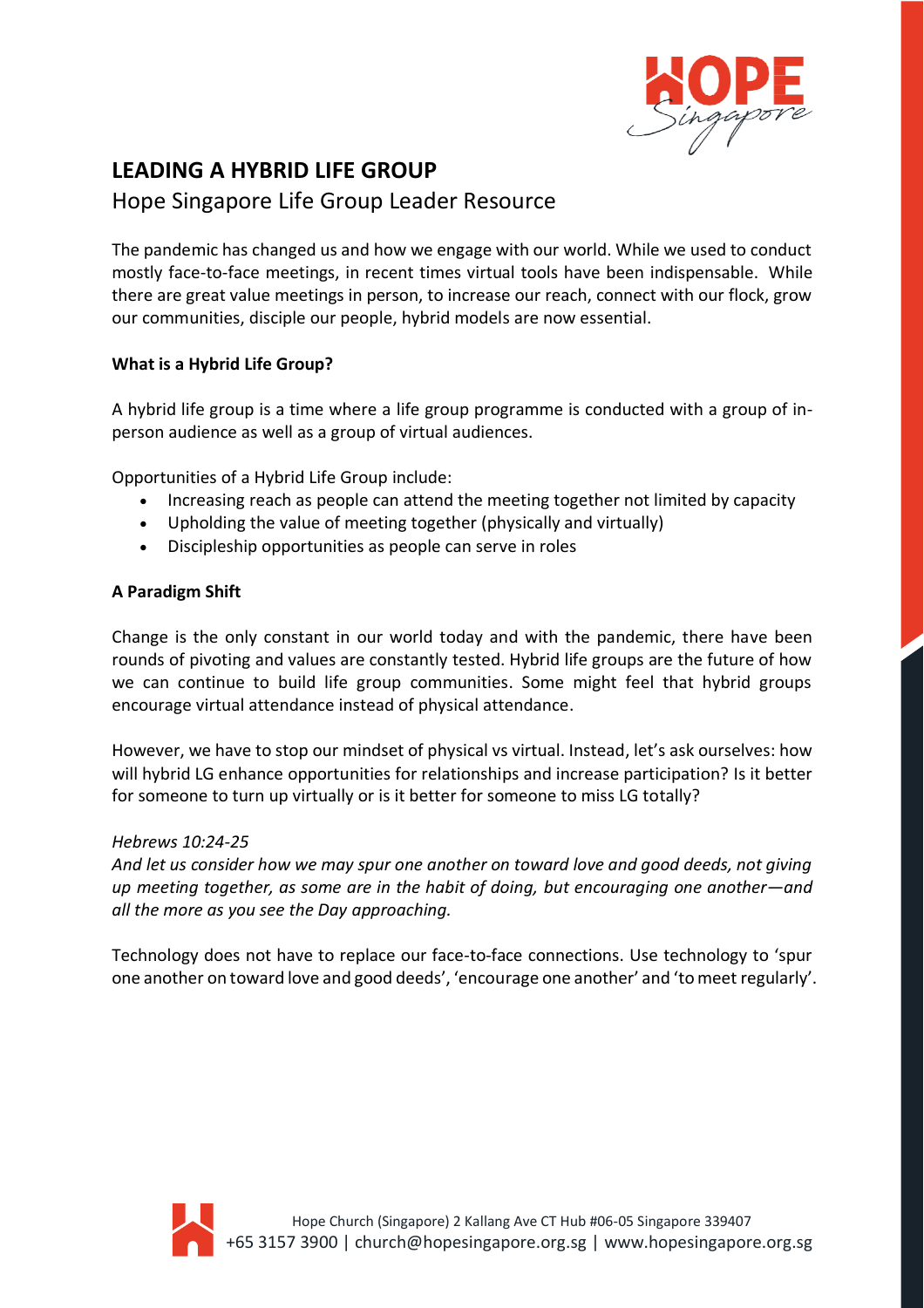

# **LEADING A HYBRID LIFE GROUP**

# Hope Singapore Life Group Leader Resource

The pandemic has changed us and how we engage with our world. While we used to conduct mostly face-to-face meetings, in recent times virtual tools have been indispensable. While there are great value meetings in person, to increase our reach, connect with our flock, grow our communities, disciple our people, hybrid models are now essential.

# **What is a Hybrid Life Group?**

A hybrid life group is a time where a life group programme is conducted with a group of inperson audience as well as a group of virtual audiences.

Opportunities of a Hybrid Life Group include:

- Increasing reach as people can attend the meeting together not limited by capacity
- Upholding the value of meeting together (physically and virtually)
- Discipleship opportunities as people can serve in roles

# **A Paradigm Shift**

Change is the only constant in our world today and with the pandemic, there have been rounds of pivoting and values are constantly tested. Hybrid life groups are the future of how we can continue to build life group communities. Some might feel that hybrid groups encourage virtual attendance instead of physical attendance.

However, we have to stop our mindset of physical vs virtual. Instead, let's ask ourselves: how will hybrid LG enhance opportunities for relationships and increase participation? Is it better for someone to turn up virtually or is it better for someone to miss LG totally?

# *Hebrews 10:24-25*

*And let us consider how we may spur one another on toward love and good deeds, not giving up meeting together, as some are in the habit of doing, but encouraging one another—and all the more as you see the Day approaching.*

Technology does not have to replace our face-to-face connections. Use technology to 'spur one another on toward love and good deeds', 'encourage one another' and 'to meet regularly'.

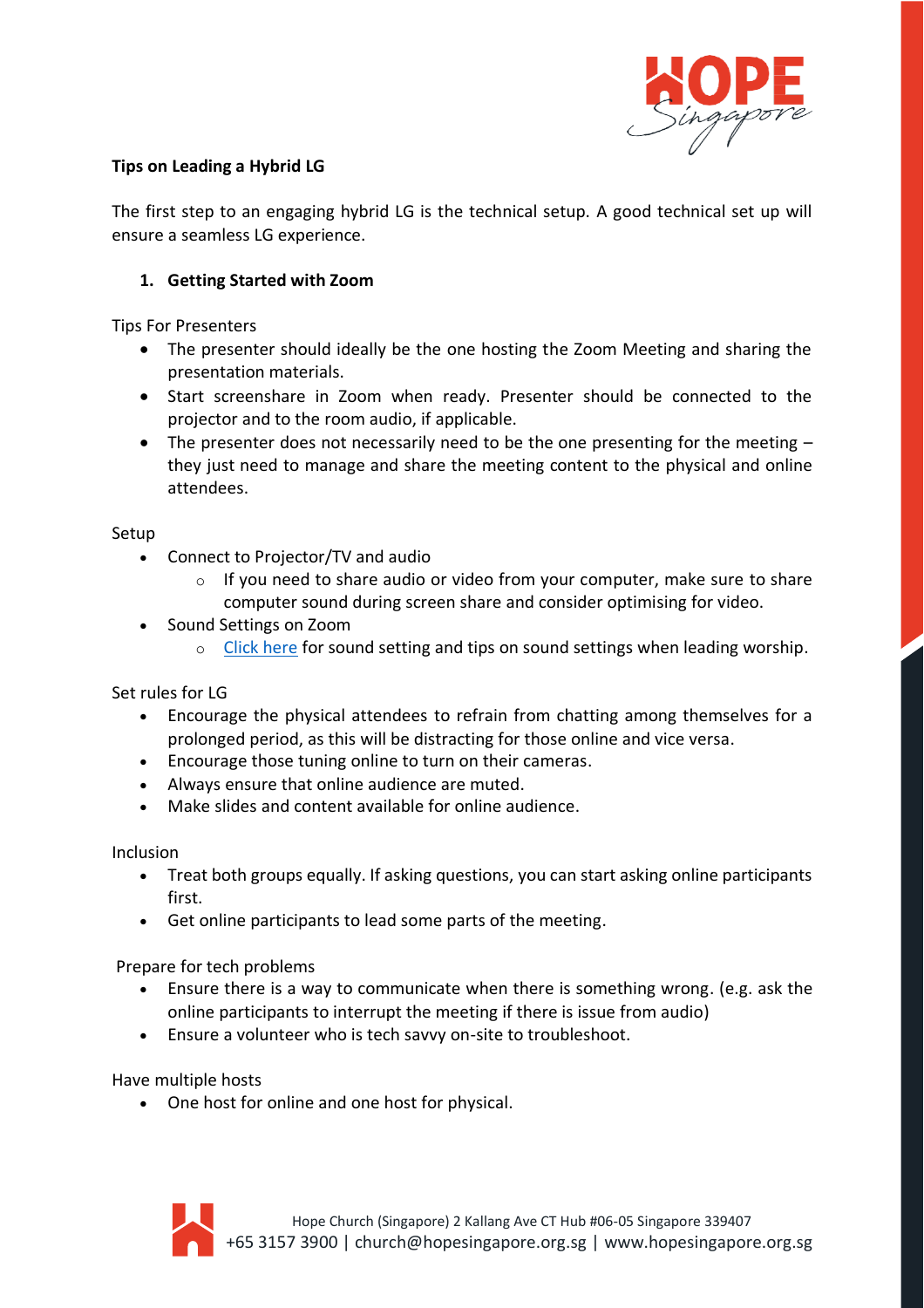

# **Tips on Leading a Hybrid LG**

The first step to an engaging hybrid LG is the technical setup. A good technical set up will ensure a seamless LG experience.

# **1. Getting Started with Zoom**

Tips For Presenters

- The presenter should ideally be the one hosting the Zoom Meeting and sharing the presentation materials.
- Start screenshare in Zoom when ready. Presenter should be connected to the projector and to the room audio, if applicable.
- The presenter does not necessarily need to be the one presenting for the meeting they just need to manage and share the meeting content to the physical and online attendees.

#### Setup

- Connect to Projector/TV and audio
	- $\circ$  If you need to share audio or video from your computer, make sure to share computer sound during screen share and consider optimising for video.
- Sound Settings on Zoom
	- $\circ$  [Click here](http://hopesingapore.com/ZoomWLGuide) for sound setting and tips on sound settings when leading worship.

Set rules for LG

- Encourage the physical attendees to refrain from chatting among themselves for a prolonged period, as this will be distracting for those online and vice versa.
- Encourage those tuning online to turn on their cameras.
- Always ensure that online audience are muted.
- Make slides and content available for online audience.

Inclusion

- Treat both groups equally. If asking questions, you can start asking online participants first.
- Get online participants to lead some parts of the meeting.

Prepare for tech problems

- Ensure there is a way to communicate when there is something wrong. (e.g. ask the online participants to interrupt the meeting if there is issue from audio)
- Ensure a volunteer who is tech savvy on-site to troubleshoot.

Have multiple hosts

• One host for online and one host for physical.

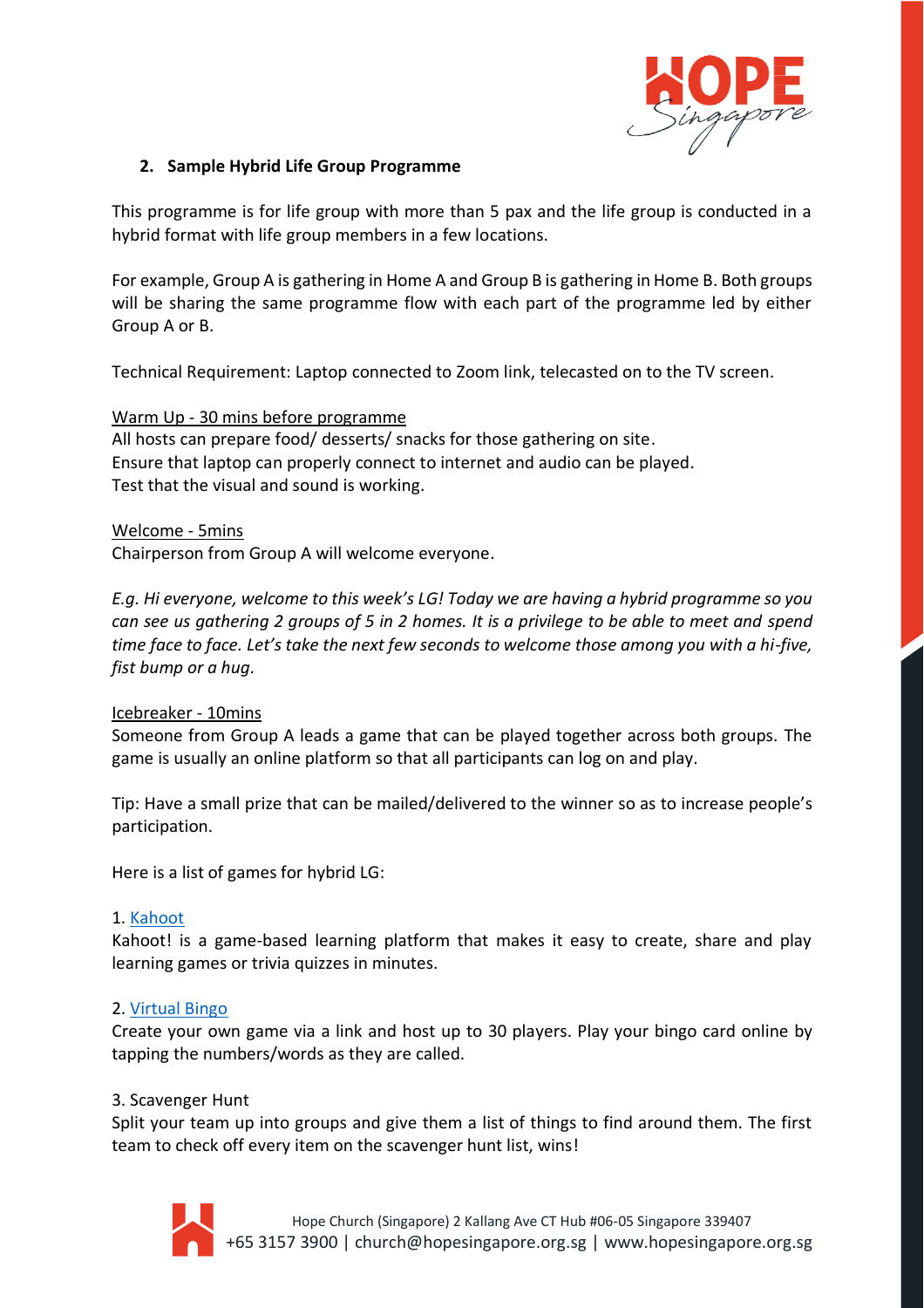

# **2. Sample Hybrid Life Group Programme**

This programme is for life group with more than 5 pax and the life group is conducted in a hybrid format with life group members in a few locations.

For example, Group A is gathering in Home A and Group B is gathering in Home B. Both groups will be sharing the same programme flow with each part of the programme led by either Group A or B.

Technical Requirement: Laptop connected to Zoom link, telecasted on to the TV screen.

# Warm Up - 30 mins before programme

All hosts can prepare food/ desserts/ snacks for those gathering on site. Ensure that laptop can properly connect to internet and audio can be played. Test that the visual and sound is working.

#### Welcome - 5mins

Chairperson from Group A will welcome everyone.

*E.g. Hi everyone, welcome to this week's LG! Today we are having a hybrid programme so you can see us gathering 2 groups of 5 in 2 homes. It is a privilege to be able to meet and spend time face to face. Let's take the next few seconds to welcome those among you with a hi-five, fist bump or a hug.*

#### Icebreaker - 10mins

Someone from Group A leads a game that can be played together across both groups. The game is usually an online platform so that all participants can log on and play.

Tip: Have a small prize that can be mailed/delivered to the winner so as to increase people's participation.

Here is a list of games for hybrid LG:

#### 1. [Kahoot](https://kahoot.com/)

Kahoot! is a game-based learning platform that makes it easy to create, share and play learning games or trivia quizzes in minutes.

#### 2. [Virtual Bingo](https://myfreebingocards.com/virtual-bingo)

Create your own game via a link and host up to 30 players. Play your bingo card online by tapping the numbers/words as they are called.

#### 3. Scavenger Hunt

Split your team up into groups and give them a list of things to find around them. The first team to check off every item on the scavenger hunt list, wins!